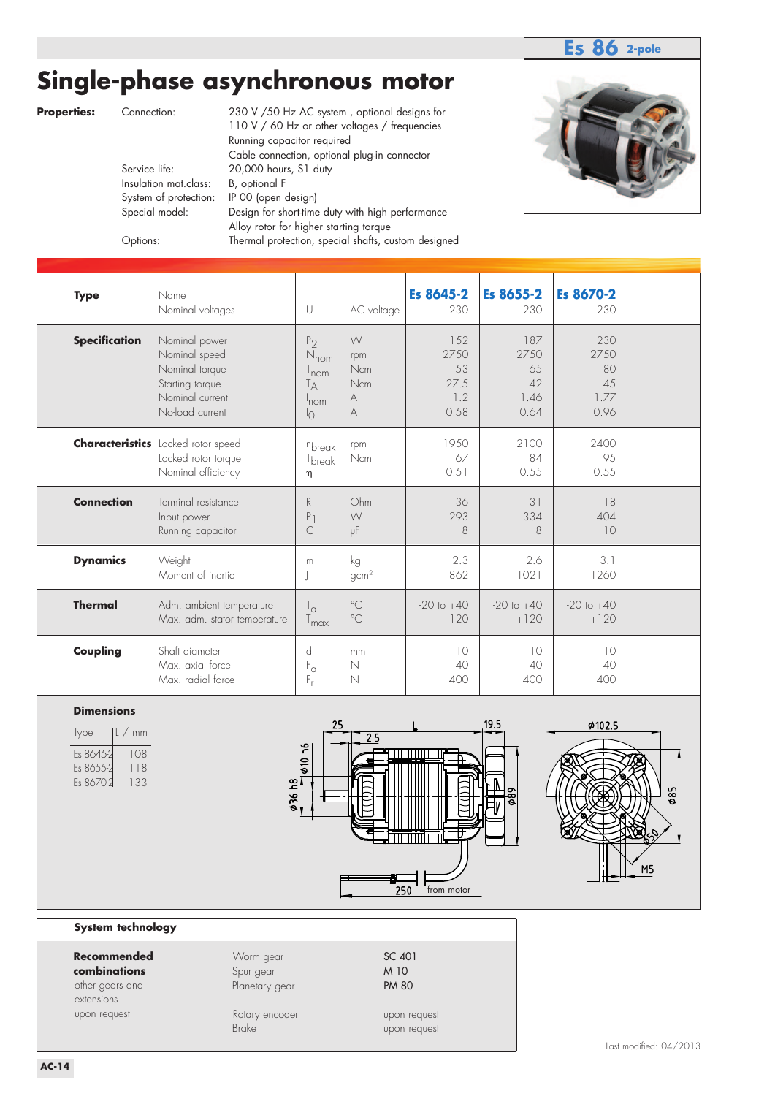## **Es 86 2-pole**

# **Single-phase asynchronous motor**

**Properties:** Connection: 230 V /50 Hz AC system , optional designs for 110 V / 60 Hz or other voltages / frequencies Running capacitor required Cable connection, optional plug-in connector<br>Service life: 20,000 hours, S1 duty 20,000 hours, S1 duty Insulation mat.class: B, optional F System of protection: IP 00 (open design) Special model: Design for short-time duty with high performance Alloy rotor for higher starting torque Options: Thermal protection, special shafts, custom designed



| <b>Type</b>          | Name<br>Nominal voltages                                                                                  | U                                                                                            | AC voltage                       | Es 8645-2<br>230                         | Es 8655-2<br>230                        | Es 8670-2<br>230                        |  |
|----------------------|-----------------------------------------------------------------------------------------------------------|----------------------------------------------------------------------------------------------|----------------------------------|------------------------------------------|-----------------------------------------|-----------------------------------------|--|
| <b>Specification</b> | Nominal power<br>Nominal speed<br>Nominal torque<br>Starting torque<br>Nominal current<br>No-load current | P <sub>2</sub><br>$N_{nom}$<br>$T_{\mathsf{nom}}$<br>Tд<br>$^{\prime}$ nom<br>$\overline{O}$ | W<br>rpm<br>Ncm<br>Ncm<br>А<br>A | 152<br>2750<br>53<br>27.5<br>1.2<br>0.58 | 187<br>2750<br>65<br>42<br>1.46<br>0.64 | 230<br>2750<br>80<br>45<br>1.77<br>0.96 |  |
|                      | <b>Characteristics</b> Locked rotor speed<br>Locked rotor torque<br>Nominal efficiency                    | nbreak<br>T <sub>break</sub><br>η                                                            | rpm<br>Ncm                       | 1950<br>67<br>0.51                       | 2100<br>84<br>0.55                      | 2400<br>95<br>0.55                      |  |
| <b>Connection</b>    | Terminal resistance<br>Input power<br>Running capacitor                                                   | R<br>P <sub>1</sub><br>$\subset$                                                             | Ohm<br>W<br>μF                   | 36<br>293<br>8                           | 31<br>334<br>8                          | 18<br>404<br>10                         |  |
| <b>Dynamics</b>      | Weight<br>Moment of inertia                                                                               | m                                                                                            | kg<br>gcm <sup>2</sup>           | 2.3<br>862                               | 2.6<br>1021                             | 3.1<br>1260                             |  |
| <b>Thermal</b>       | Adm. ambient temperature<br>Max. adm. stator temperature                                                  | $T_{\alpha}$<br>$T_{\sf max}$                                                                | $^{\circ}$ C<br>$^{\circ}$ C     | $-20$ to $+40$<br>$+120$                 | $-20$ to $+40$<br>$+120$                | $-20$ to $+40$<br>$+120$                |  |
| Coupling             | Shaft diameter<br>Max. axial force<br>Max. radial force                                                   | d<br>$\mathsf{F}_{\alpha}$<br>$F_r$                                                          | mm<br>$\mathbb N$<br>N           | 10<br>40<br>400                          | 10<br>40<br>400                         | 10<br>40<br>400                         |  |

### **Dimensions**

| <i>lype</i> | l/mm |
|-------------|------|
| Es 8645-2   | 108  |
| Es 8655-2   | 118  |
| Fs 8670-2   | 133  |





#### **System technology**

| <b>Recommended</b><br>combinations<br>other gears and<br>extensions | Worm gear<br>Spur gear<br>Planetary gear | SC 401<br>M 10<br><b>PM 80</b> |
|---------------------------------------------------------------------|------------------------------------------|--------------------------------|
| upon request                                                        | Rotary encoder<br>Brake                  | upon request<br>upon request   |